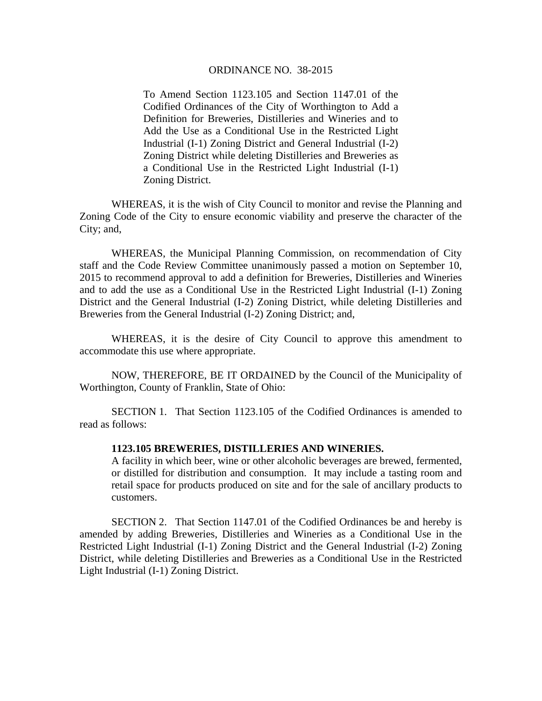## ORDINANCE NO. 38-2015

To Amend Section 1123.105 and Section 1147.01 of the Codified Ordinances of the City of Worthington to Add a Definition for Breweries, Distilleries and Wineries and to Add the Use as a Conditional Use in the Restricted Light Industrial (I-1) Zoning District and General Industrial (I-2) Zoning District while deleting Distilleries and Breweries as a Conditional Use in the Restricted Light Industrial (I-1) Zoning District.

WHEREAS, it is the wish of City Council to monitor and revise the Planning and Zoning Code of the City to ensure economic viability and preserve the character of the City; and,

WHEREAS, the Municipal Planning Commission, on recommendation of City staff and the Code Review Committee unanimously passed a motion on September 10, 2015 to recommend approval to add a definition for Breweries, Distilleries and Wineries and to add the use as a Conditional Use in the Restricted Light Industrial (I-1) Zoning District and the General Industrial (I-2) Zoning District, while deleting Distilleries and Breweries from the General Industrial (I-2) Zoning District; and,

WHEREAS, it is the desire of City Council to approve this amendment to accommodate this use where appropriate.

 NOW, THEREFORE, BE IT ORDAINED by the Council of the Municipality of Worthington, County of Franklin, State of Ohio:

 SECTION 1. That Section 1123.105 of the Codified Ordinances is amended to read as follows:

## **1123.105 BREWERIES, DISTILLERIES AND WINERIES.**

A facility in which beer, wine or other alcoholic beverages are brewed, fermented, or distilled for distribution and consumption. It may include a tasting room and retail space for products produced on site and for the sale of ancillary products to customers.

SECTION 2. That Section 1147.01 of the Codified Ordinances be and hereby is amended by adding Breweries, Distilleries and Wineries as a Conditional Use in the Restricted Light Industrial (I-1) Zoning District and the General Industrial (I-2) Zoning District, while deleting Distilleries and Breweries as a Conditional Use in the Restricted Light Industrial (I-1) Zoning District.